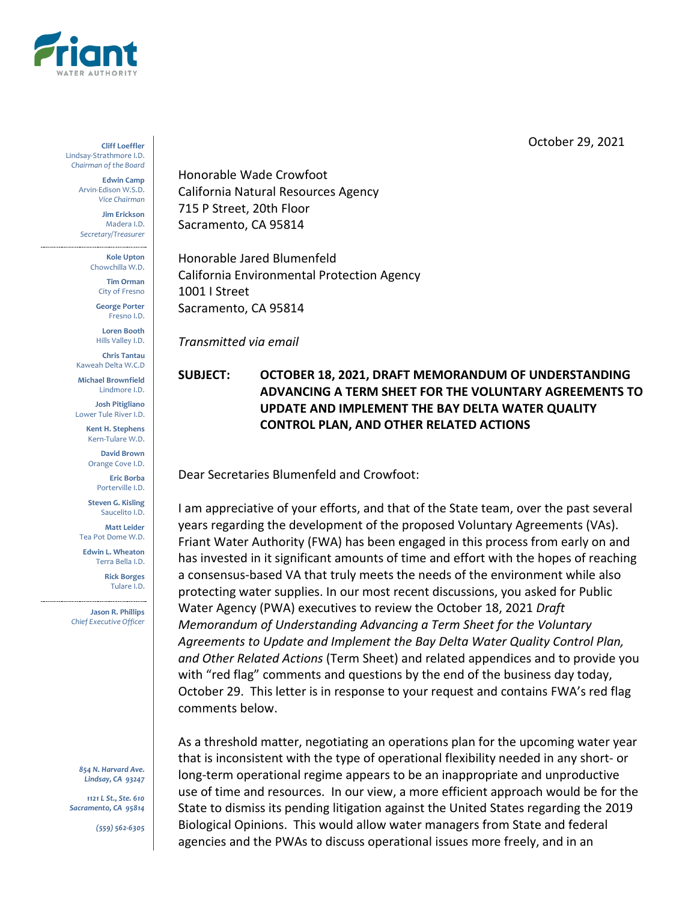

October 29, 2021

**Cliff Loeffler** Lindsay-Strathmore I.D. *Chairman of the Board*

> **Edwin Camp** Arvin-Edison W.S.D. *Vice Chairman*

**Jim Erickson** Madera I.D. *Secretary/Treasurer*

**Kole Upton**

Chowchilla W.D. **Tim Orman**

City of Fresno

**George Porter** Fresno I.D.

**Loren Booth** Hills Valley I.D.

**Chris Tantau** Kaweah Delta W.C.D

**Michael Brownfield** Lindmore I.D.

**Josh Pitigliano** Lower Tule River I.D.

> **Kent H. Stephens** Kern-Tulare W.D.

**David Brown** Orange Cove I.D.

**Eric Borba** Porterville I.D.

**Steven G. Kisling** Saucelito I.D.

**Matt Leider** Tea Pot Dome W.D.

**Edwin L. Wheaton** Terra Bella I.D.

> **Rick Borges** Tulare I.D.

**Jason R. Phillips** *Chief Executive Officer*

*854 N. Harvard Ave. Lindsay, CA 93247*

*1121 L St., Ste. 610 Sacramento, CA 95814*

*(559) 562-6305*

Honorable Wade Crowfoot California Natural Resources Agency 715 P Street, 20th Floor Sacramento, CA 95814

Honorable Jared Blumenfeld California Environmental Protection Agency 1001 I Street Sacramento, CA 95814

*Transmitted via email*

## **SUBJECT: OCTOBER 18, 2021, DRAFT MEMORANDUM OF UNDERSTANDING ADVANCING A TERM SHEET FOR THE VOLUNTARY AGREEMENTS TO UPDATE AND IMPLEMENT THE BAY DELTA WATER QUALITY CONTROL PLAN, AND OTHER RELATED ACTIONS**

Dear Secretaries Blumenfeld and Crowfoot:

I am appreciative of your efforts, and that of the State team, over the past several years regarding the development of the proposed Voluntary Agreements (VAs). Friant Water Authority (FWA) has been engaged in this process from early on and has invested in it significant amounts of time and effort with the hopes of reaching a consensus-based VA that truly meets the needs of the environment while also protecting water supplies. In our most recent discussions, you asked for Public Water Agency (PWA) executives to review the October 18, 2021 *Draft Memorandum of Understanding Advancing a Term Sheet for the Voluntary Agreements to Update and Implement the Bay Delta Water Quality Control Plan, and Other Related Actions* (Term Sheet) and related appendices and to provide you with "red flag" comments and questions by the end of the business day today, October 29. This letter is in response to your request and contains FWA's red flag comments below.

As a threshold matter, negotiating an operations plan for the upcoming water year that is inconsistent with the type of operational flexibility needed in any short- or long-term operational regime appears to be an inappropriate and unproductive use of time and resources. In our view, a more efficient approach would be for the State to dismiss its pending litigation against the United States regarding the 2019 Biological Opinions. This would allow water managers from State and federal agencies and the PWAs to discuss operational issues more freely, and in an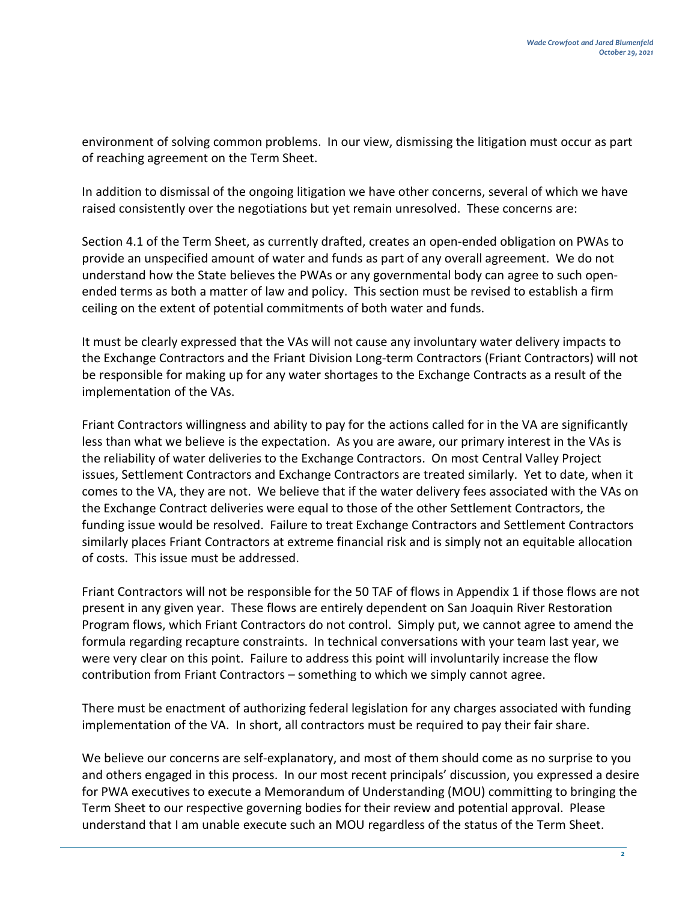environment of solving common problems. In our view, dismissing the litigation must occur as part of reaching agreement on the Term Sheet.

In addition to dismissal of the ongoing litigation we have other concerns, several of which we have raised consistently over the negotiations but yet remain unresolved. These concerns are:

Section 4.1 of the Term Sheet, as currently drafted, creates an open-ended obligation on PWAs to provide an unspecified amount of water and funds as part of any overall agreement. We do not understand how the State believes the PWAs or any governmental body can agree to such openended terms as both a matter of law and policy. This section must be revised to establish a firm ceiling on the extent of potential commitments of both water and funds.

It must be clearly expressed that the VAs will not cause any involuntary water delivery impacts to the Exchange Contractors and the Friant Division Long-term Contractors (Friant Contractors) will not be responsible for making up for any water shortages to the Exchange Contracts as a result of the implementation of the VAs.

Friant Contractors willingness and ability to pay for the actions called for in the VA are significantly less than what we believe is the expectation. As you are aware, our primary interest in the VAs is the reliability of water deliveries to the Exchange Contractors. On most Central Valley Project issues, Settlement Contractors and Exchange Contractors are treated similarly. Yet to date, when it comes to the VA, they are not. We believe that if the water delivery fees associated with the VAs on the Exchange Contract deliveries were equal to those of the other Settlement Contractors, the funding issue would be resolved. Failure to treat Exchange Contractors and Settlement Contractors similarly places Friant Contractors at extreme financial risk and is simply not an equitable allocation of costs. This issue must be addressed.

Friant Contractors will not be responsible for the 50 TAF of flows in Appendix 1 if those flows are not present in any given year. These flows are entirely dependent on San Joaquin River Restoration Program flows, which Friant Contractors do not control. Simply put, we cannot agree to amend the formula regarding recapture constraints. In technical conversations with your team last year, we were very clear on this point. Failure to address this point will involuntarily increase the flow contribution from Friant Contractors – something to which we simply cannot agree.

There must be enactment of authorizing federal legislation for any charges associated with funding implementation of the VA. In short, all contractors must be required to pay their fair share.

We believe our concerns are self-explanatory, and most of them should come as no surprise to you and others engaged in this process. In our most recent principals' discussion, you expressed a desire for PWA executives to execute a Memorandum of Understanding (MOU) committing to bringing the Term Sheet to our respective governing bodies for their review and potential approval. Please understand that I am unable execute such an MOU regardless of the status of the Term Sheet.